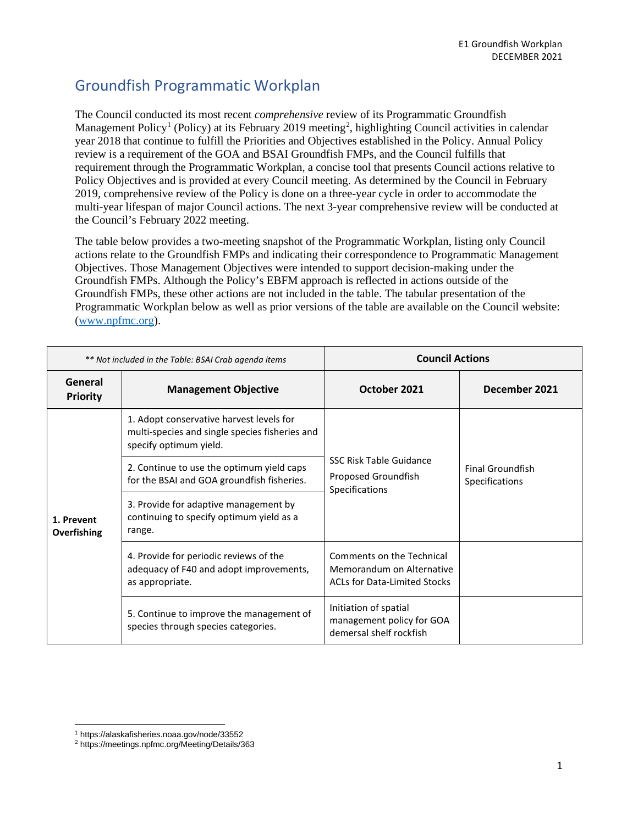## Groundfish Programmatic Workplan

The Council conducted its most recent *comprehensive* review of its Programmatic Groundfish Management Policy<sup>[1](#page-0-0)</sup> (Policy) at its February [2](#page-0-1)019 meeting<sup>2</sup>, highlighting Council activities in calendar year 2018 that continue to fulfill the Priorities and Objectives established in the Policy. Annual Policy review is a requirement of the GOA and BSAI Groundfish FMPs, and the Council fulfills that requirement through the Programmatic Workplan, a concise tool that presents Council actions relative to Policy Objectives and is provided at every Council meeting. As determined by the Council in February 2019, comprehensive review of the Policy is done on a three-year cycle in order to accommodate the multi-year lifespan of major Council actions. The next 3-year comprehensive review will be conducted at the Council's February 2022 meeting.

The table below provides a two-meeting snapshot of the Programmatic Workplan, listing only Council actions relate to the Groundfish FMPs and indicating their correspondence to Programmatic Management Objectives. Those Management Objectives were intended to support decision-making under the Groundfish FMPs. Although the Policy's EBFM approach is reflected in actions outside of the Groundfish FMPs, these other actions are not included in the table. The tabular presentation of the Programmatic Workplan below as well as prior versions of the table are available on the Council website: [\(www.npfmc.org\)](http://www.npfmc.org/).

| ** Not included in the Table: BSAI Crab agenda items |                                                                                                                      | <b>Council Actions</b>                                                                 |                                           |
|------------------------------------------------------|----------------------------------------------------------------------------------------------------------------------|----------------------------------------------------------------------------------------|-------------------------------------------|
| General<br><b>Priority</b>                           | <b>Management Objective</b>                                                                                          | October 2021                                                                           | December 2021                             |
| 1. Prevent<br>Overfishing                            | 1. Adopt conservative harvest levels for<br>multi-species and single species fisheries and<br>specify optimum yield. | <b>SSC Risk Table Guidance</b><br>Proposed Groundfish<br>Specifications                | <b>Final Groundfish</b><br>Specifications |
|                                                      | 2. Continue to use the optimum yield caps<br>for the BSAI and GOA groundfish fisheries.                              |                                                                                        |                                           |
|                                                      | 3. Provide for adaptive management by<br>continuing to specify optimum yield as a<br>range.                          |                                                                                        |                                           |
|                                                      | 4. Provide for periodic reviews of the<br>adequacy of F40 and adopt improvements,<br>as appropriate.                 | Comments on the Technical<br>Memorandum on Alternative<br>ACLs for Data-Limited Stocks |                                           |
|                                                      | 5. Continue to improve the management of<br>species through species categories.                                      | Initiation of spatial<br>management policy for GOA<br>demersal shelf rockfish          |                                           |

<sup>1</sup> https://alaskafisheries.noaa.gov/node/33552

<span id="page-0-1"></span><span id="page-0-0"></span><sup>2</sup> https://meetings.npfmc.org/Meeting/Details/363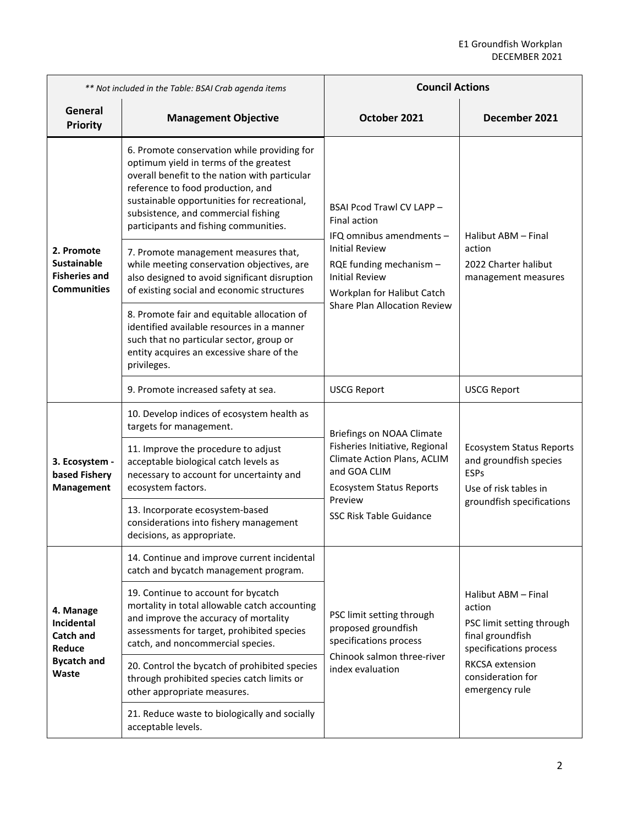| ** Not included in the Table: BSAI Crab agenda items                                 |                                                                                                                                                                                                                                                                                                            | <b>Council Actions</b>                                                                                                                                                                                                         |                                                                                                                                                                    |
|--------------------------------------------------------------------------------------|------------------------------------------------------------------------------------------------------------------------------------------------------------------------------------------------------------------------------------------------------------------------------------------------------------|--------------------------------------------------------------------------------------------------------------------------------------------------------------------------------------------------------------------------------|--------------------------------------------------------------------------------------------------------------------------------------------------------------------|
| General<br><b>Priority</b>                                                           | <b>Management Objective</b>                                                                                                                                                                                                                                                                                | October 2021                                                                                                                                                                                                                   | December 2021                                                                                                                                                      |
| 2. Promote<br>Sustainable<br><b>Fisheries and</b><br><b>Communities</b>              | 6. Promote conservation while providing for<br>optimum yield in terms of the greatest<br>overall benefit to the nation with particular<br>reference to food production, and<br>sustainable opportunities for recreational,<br>subsistence, and commercial fishing<br>participants and fishing communities. | BSAI Pcod Trawl CV LAPP -<br><b>Final action</b><br>IFQ omnibus amendments -<br><b>Initial Review</b><br>RQE funding mechanism -<br><b>Initial Review</b><br>Workplan for Halibut Catch<br><b>Share Plan Allocation Review</b> | Halibut ABM - Final<br>action<br>2022 Charter halibut<br>management measures                                                                                       |
|                                                                                      | 7. Promote management measures that,<br>while meeting conservation objectives, are<br>also designed to avoid significant disruption<br>of existing social and economic structures                                                                                                                          |                                                                                                                                                                                                                                |                                                                                                                                                                    |
|                                                                                      | 8. Promote fair and equitable allocation of<br>identified available resources in a manner<br>such that no particular sector, group or<br>entity acquires an excessive share of the<br>privileges.                                                                                                          |                                                                                                                                                                                                                                |                                                                                                                                                                    |
|                                                                                      | 9. Promote increased safety at sea.                                                                                                                                                                                                                                                                        | <b>USCG Report</b>                                                                                                                                                                                                             | <b>USCG Report</b>                                                                                                                                                 |
| 3. Ecosystem -<br>based Fishery<br>Management                                        | 10. Develop indices of ecosystem health as<br>targets for management.                                                                                                                                                                                                                                      | Briefings on NOAA Climate<br>Fisheries Initiative, Regional<br>Climate Action Plans, ACLIM<br>and GOA CLIM<br><b>Ecosystem Status Reports</b><br>Preview<br><b>SSC Risk Table Guidance</b>                                     |                                                                                                                                                                    |
|                                                                                      | 11. Improve the procedure to adjust<br>acceptable biological catch levels as<br>necessary to account for uncertainty and<br>ecosystem factors.                                                                                                                                                             |                                                                                                                                                                                                                                | <b>Ecosystem Status Reports</b><br>and groundfish species<br><b>ESPs</b><br>Use of risk tables in<br>groundfish specifications                                     |
|                                                                                      | 13. Incorporate ecosystem-based<br>considerations into fishery management<br>decisions, as appropriate.                                                                                                                                                                                                    |                                                                                                                                                                                                                                |                                                                                                                                                                    |
| 4. Manage<br>Incidental<br><b>Catch and</b><br>Reduce<br><b>Bycatch and</b><br>Waste | 14. Continue and improve current incidental<br>catch and bycatch management program.                                                                                                                                                                                                                       | PSC limit setting through<br>proposed groundfish<br>specifications process<br>Chinook salmon three-river<br>index evaluation                                                                                                   | Halibut ABM - Final<br>action<br>PSC limit setting through<br>final groundfish<br>specifications process<br>RKCSA extension<br>consideration for<br>emergency rule |
|                                                                                      | 19. Continue to account for bycatch<br>mortality in total allowable catch accounting<br>and improve the accuracy of mortality<br>assessments for target, prohibited species<br>catch, and noncommercial species.                                                                                           |                                                                                                                                                                                                                                |                                                                                                                                                                    |
|                                                                                      | 20. Control the bycatch of prohibited species<br>through prohibited species catch limits or<br>other appropriate measures.                                                                                                                                                                                 |                                                                                                                                                                                                                                |                                                                                                                                                                    |
|                                                                                      | 21. Reduce waste to biologically and socially<br>acceptable levels.                                                                                                                                                                                                                                        |                                                                                                                                                                                                                                |                                                                                                                                                                    |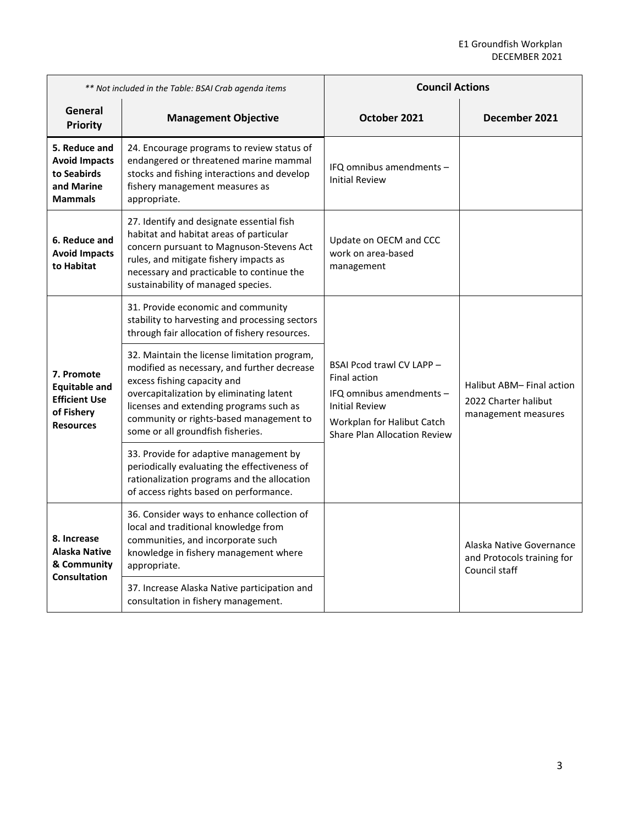| ** Not included in the Table: BSAI Crab agenda items                                         |                                                                                                                                                                                                                                                                                                   | <b>Council Actions</b>                                                                                                                                                     |                                                                         |
|----------------------------------------------------------------------------------------------|---------------------------------------------------------------------------------------------------------------------------------------------------------------------------------------------------------------------------------------------------------------------------------------------------|----------------------------------------------------------------------------------------------------------------------------------------------------------------------------|-------------------------------------------------------------------------|
| General<br><b>Priority</b>                                                                   | <b>Management Objective</b>                                                                                                                                                                                                                                                                       | October 2021                                                                                                                                                               | December 2021                                                           |
| 5. Reduce and<br><b>Avoid Impacts</b><br>to Seabirds<br>and Marine<br><b>Mammals</b>         | 24. Encourage programs to review status of<br>endangered or threatened marine mammal<br>stocks and fishing interactions and develop<br>fishery management measures as<br>appropriate.                                                                                                             | IFQ omnibus amendments -<br><b>Initial Review</b>                                                                                                                          |                                                                         |
| 6. Reduce and<br><b>Avoid Impacts</b><br>to Habitat                                          | 27. Identify and designate essential fish<br>habitat and habitat areas of particular<br>concern pursuant to Magnuson-Stevens Act<br>rules, and mitigate fishery impacts as<br>necessary and practicable to continue the<br>sustainability of managed species.                                     | Update on OECM and CCC<br>work on area-based<br>management                                                                                                                 |                                                                         |
| 7. Promote<br><b>Equitable and</b><br><b>Efficient Use</b><br>of Fishery<br><b>Resources</b> | 31. Provide economic and community<br>stability to harvesting and processing sectors<br>through fair allocation of fishery resources.                                                                                                                                                             | BSAI Pcod trawl CV LAPP -<br><b>Final action</b><br>IFQ omnibus amendments -<br><b>Initial Review</b><br>Workplan for Halibut Catch<br><b>Share Plan Allocation Review</b> | Halibut ABM-Final action<br>2022 Charter halibut<br>management measures |
|                                                                                              | 32. Maintain the license limitation program,<br>modified as necessary, and further decrease<br>excess fishing capacity and<br>overcapitalization by eliminating latent<br>licenses and extending programs such as<br>community or rights-based management to<br>some or all groundfish fisheries. |                                                                                                                                                                            |                                                                         |
|                                                                                              | 33. Provide for adaptive management by<br>periodically evaluating the effectiveness of<br>rationalization programs and the allocation<br>of access rights based on performance.                                                                                                                   |                                                                                                                                                                            |                                                                         |
| 8. Increase<br>Alaska Native<br>& Community<br><b>Consultation</b>                           | 36. Consider ways to enhance collection of<br>local and traditional knowledge from<br>communities, and incorporate such<br>knowledge in fishery management where<br>appropriate.                                                                                                                  |                                                                                                                                                                            | Alaska Native Governance<br>and Protocols training for<br>Council staff |
|                                                                                              | 37. Increase Alaska Native participation and<br>consultation in fishery management.                                                                                                                                                                                                               |                                                                                                                                                                            |                                                                         |